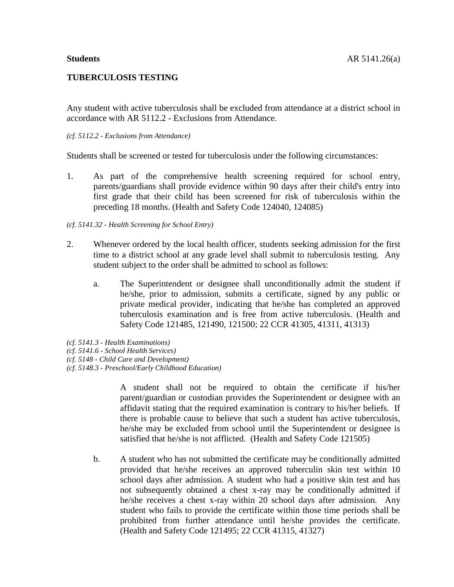# **TUBERCULOSIS TESTING**

Any student with active tuberculosis shall be excluded from attendance at a district school in accordance with AR 5112.2 - Exclusions from Attendance.

### *(cf. 5112.2 - Exclusions from Attendance)*

Students shall be screened or tested for tuberculosis under the following circumstances:

1. As part of the comprehensive health screening required for school entry, parents/guardians shall provide evidence within 90 days after their child's entry into first grade that their child has been screened for risk of tuberculosis within the preceding 18 months. (Health and Safety Code 124040, 124085)

## *(cf. 5141.32 - Health Screening for School Entry)*

- 2. Whenever ordered by the local health officer, students seeking admission for the first time to a district school at any grade level shall submit to tuberculosis testing. Any student subject to the order shall be admitted to school as follows:
	- a. The Superintendent or designee shall unconditionally admit the student if he/she, prior to admission, submits a certificate, signed by any public or private medical provider, indicating that he/she has completed an approved tuberculosis examination and is free from active tuberculosis. (Health and Safety Code 121485, 121490, 121500; 22 CCR 41305, 41311, 41313)
- *(cf. 5141.3 - Health Examinations) (cf. 5141.6 - School Health Services)*
- *(cf. 5148 - Child Care and Development)*
- *(cf. 5148.3 - Preschool/Early Childhood Education)*

A student shall not be required to obtain the certificate if his/her parent/guardian or custodian provides the Superintendent or designee with an affidavit stating that the required examination is contrary to his/her beliefs. If there is probable cause to believe that such a student has active tuberculosis, he/she may be excluded from school until the Superintendent or designee is satisfied that he/she is not afflicted. (Health and Safety Code 121505)

b. A student who has not submitted the certificate may be conditionally admitted provided that he/she receives an approved tuberculin skin test within 10 school days after admission. A student who had a positive skin test and has not subsequently obtained a chest x-ray may be conditionally admitted if he/she receives a chest x-ray within 20 school days after admission. Any student who fails to provide the certificate within those time periods shall be prohibited from further attendance until he/she provides the certificate. (Health and Safety Code 121495; 22 CCR 41315, 41327)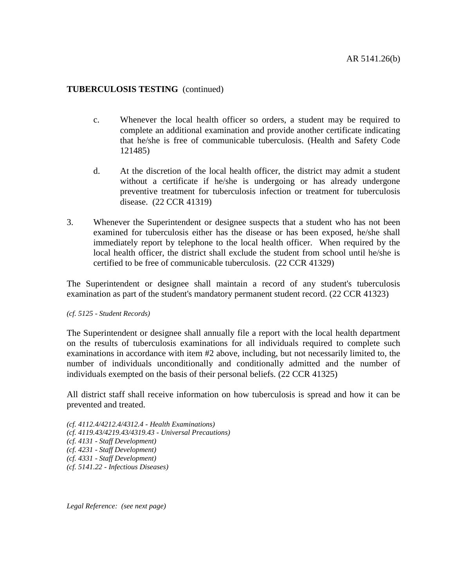## **TUBERCULOSIS TESTING** (continued)

- c. Whenever the local health officer so orders, a student may be required to complete an additional examination and provide another certificate indicating that he/she is free of communicable tuberculosis. (Health and Safety Code 121485)
- d. At the discretion of the local health officer, the district may admit a student without a certificate if he/she is undergoing or has already undergone preventive treatment for tuberculosis infection or treatment for tuberculosis disease. (22 CCR 41319)
- 3. Whenever the Superintendent or designee suspects that a student who has not been examined for tuberculosis either has the disease or has been exposed, he/she shall immediately report by telephone to the local health officer. When required by the local health officer, the district shall exclude the student from school until he/she is certified to be free of communicable tuberculosis. (22 CCR 41329)

The Superintendent or designee shall maintain a record of any student's tuberculosis examination as part of the student's mandatory permanent student record. (22 CCR 41323)

#### *(cf. 5125 - Student Records)*

The Superintendent or designee shall annually file a report with the local health department on the results of tuberculosis examinations for all individuals required to complete such examinations in accordance with item #2 above, including, but not necessarily limited to, the number of individuals unconditionally and conditionally admitted and the number of individuals exempted on the basis of their personal beliefs. (22 CCR 41325)

All district staff shall receive information on how tuberculosis is spread and how it can be prevented and treated.

*(cf. 4112.4/4212.4/4312.4 - Health Examinations) (cf. 4119.43/4219.43/4319.43 - Universal Precautions) (cf. 4131 - Staff Development) (cf. 4231 - Staff Development) (cf. 4331 - Staff Development) (cf. 5141.22 - Infectious Diseases)*

*Legal Reference: (see next page)*